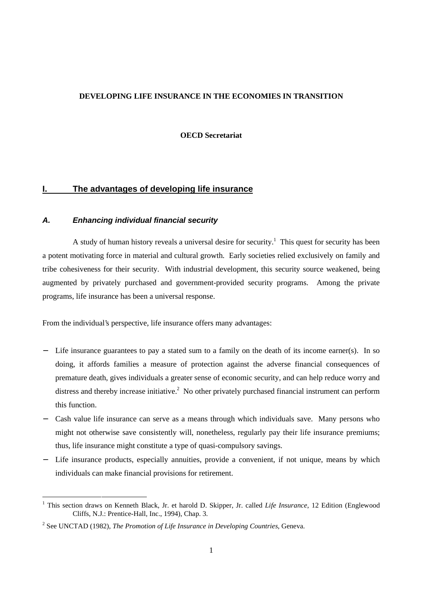### **DEVELOPING LIFE INSURANCE IN THE ECONOMIES IN TRANSITION**

**OECD Secretariat**

# **I. The advantages of developing life insurance**

### **A. Enhancing individual financial security**

A study of human history reveals a universal desire for security.<sup>1</sup> This quest for security has been a potent motivating force in material and cultural growth. Early societies relied exclusively on family and tribe cohesiveness for their security. With industrial development, this security source weakened, being augmented by privately purchased and government-provided security programs. Among the private programs, life insurance has been a universal response.

From the individual's perspective, life insurance offers many advantages:

- Life insurance guarantees to pay a stated sum to a family on the death of its income earner(s). In so doing, it affords families a measure of protection against the adverse financial consequences of premature death, gives individuals a greater sense of economic security, and can help reduce worry and distress and thereby increase initiative.<sup>2</sup> No other privately purchased financial instrument can perform this function.
- − Cash value life insurance can serve as a means through which individuals save. Many persons who might not otherwise save consistently will, nonetheless, regularly pay their life insurance premiums; thus, life insurance might constitute a type of quasi-compulsory savings.
- − Life insurance products, especially annuities, provide a convenient, if not unique, means by which individuals can make financial provisions for retirement.

 $\frac{1}{1}$  This section draws on Kenneth Black, Jr. et harold D. Skipper, Jr. called *Life Insurance*, 12 Edition (Englewood Cliffs, N.J.: Prentice-Hall, Inc., 1994), Chap. 3.

<sup>2</sup> See UNCTAD (1982), *The Promotion of Life Insurance in Developing Countries*, Geneva.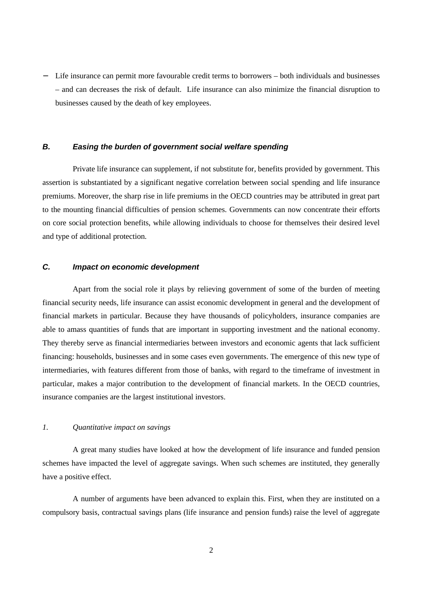− Life insurance can permit more favourable credit terms to borrowers – both individuals and businesses – and can decreases the risk of default. Life insurance can also minimize the financial disruption to businesses caused by the death of key employees.

## **B. Easing the burden of government social welfare spending**

Private life insurance can supplement, if not substitute for, benefits provided by government. This assertion is substantiated by a significant negative correlation between social spending and life insurance premiums. Moreover, the sharp rise in life premiums in the OECD countries may be attributed in great part to the mounting financial difficulties of pension schemes. Governments can now concentrate their efforts on core social protection benefits, while allowing individuals to choose for themselves their desired level and type of additional protection.

## **C. Impact on economic development**

Apart from the social role it plays by relieving government of some of the burden of meeting financial security needs, life insurance can assist economic development in general and the development of financial markets in particular. Because they have thousands of policyholders, insurance companies are able to amass quantities of funds that are important in supporting investment and the national economy. They thereby serve as financial intermediaries between investors and economic agents that lack sufficient financing: households, businesses and in some cases even governments. The emergence of this new type of intermediaries, with features different from those of banks, with regard to the timeframe of investment in particular, makes a major contribution to the development of financial markets. In the OECD countries, insurance companies are the largest institutional investors.

#### *1. Quantitative impact on savings*

A great many studies have looked at how the development of life insurance and funded pension schemes have impacted the level of aggregate savings. When such schemes are instituted, they generally have a positive effect.

A number of arguments have been advanced to explain this. First, when they are instituted on a compulsory basis, contractual savings plans (life insurance and pension funds) raise the level of aggregate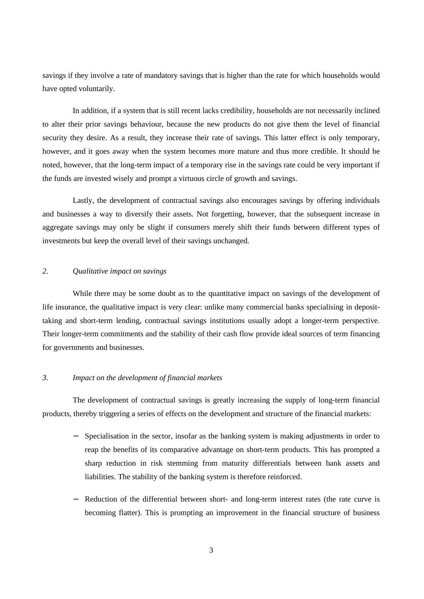savings if they involve a rate of mandatory savings that is higher than the rate for which households would have opted voluntarily.

In addition, if a system that is still recent lacks credibility, households are not necessarily inclined to alter their prior savings behaviour, because the new products do not give them the level of financial security they desire. As a result, they increase their rate of savings. This latter effect is only temporary, however, and it goes away when the system becomes more mature and thus more credible. It should be noted, however, that the long-term impact of a temporary rise in the savings rate could be very important if the funds are invested wisely and prompt a virtuous circle of growth and savings.

Lastly, the development of contractual savings also encourages savings by offering individuals and businesses a way to diversify their assets. Not forgetting, however, that the subsequent increase in aggregate savings may only be slight if consumers merely shift their funds between different types of investments but keep the overall level of their savings unchanged.

## *2. Qualitative impact on savings*

While there may be some doubt as to the quantitative impact on savings of the development of life insurance, the qualitative impact is very clear: unlike many commercial banks specialising in deposittaking and short-term lending, contractual savings institutions usually adopt a longer-term perspective. Their longer-term commitments and the stability of their cash flow provide ideal sources of term financing for governments and businesses.

## *3. Impact on the development of financial markets*

The development of contractual savings is greatly increasing the supply of long-term financial products, thereby triggering a series of effects on the development and structure of the financial markets:

- Specialisation in the sector, insofar as the banking system is making adjustments in order to reap the benefits of its comparative advantage on short-term products. This has prompted a sharp reduction in risk stemming from maturity differentials between bank assets and liabilities. The stability of the banking system is therefore reinforced.
- − Reduction of the differential between short- and long-term interest rates (the rate curve is becoming flatter). This is prompting an improvement in the financial structure of business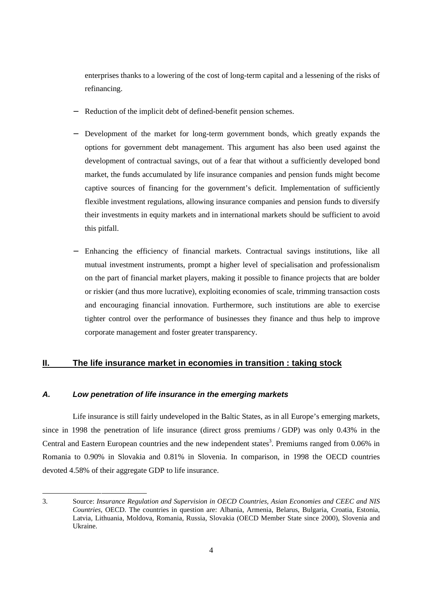enterprises thanks to a lowering of the cost of long-term capital and a lessening of the risks of refinancing.

- Reduction of the implicit debt of defined-benefit pension schemes.
- Development of the market for long-term government bonds, which greatly expands the options for government debt management. This argument has also been used against the development of contractual savings, out of a fear that without a sufficiently developed bond market, the funds accumulated by life insurance companies and pension funds might become captive sources of financing for the government's deficit. Implementation of sufficiently flexible investment regulations, allowing insurance companies and pension funds to diversify their investments in equity markets and in international markets should be sufficient to avoid this pitfall.
- Enhancing the efficiency of financial markets. Contractual savings institutions, like all mutual investment instruments, prompt a higher level of specialisation and professionalism on the part of financial market players, making it possible to finance projects that are bolder or riskier (and thus more lucrative), exploiting economies of scale, trimming transaction costs and encouraging financial innovation. Furthermore, such institutions are able to exercise tighter control over the performance of businesses they finance and thus help to improve corporate management and foster greater transparency.

## **II. The life insurance market in economies in transition : taking stock**

### **A. Low penetration of life insurance in the emerging markets**

-

Life insurance is still fairly undeveloped in the Baltic States, as in all Europe's emerging markets, since in 1998 the penetration of life insurance (direct gross premiums / GDP) was only 0.43% in the Central and Eastern European countries and the new independent states<sup>3</sup>. Premiums ranged from  $0.06\%$  in Romania to 0.90% in Slovakia and 0.81% in Slovenia. In comparison, in 1998 the OECD countries devoted 4.58% of their aggregate GDP to life insurance.

<sup>3.</sup> Source: *Insurance Regulation and Supervision in OECD Countries, Asian Economies and CEEC and NIS Countries*, OECD. The countries in question are: Albania, Armenia, Belarus, Bulgaria, Croatia, Estonia, Latvia, Lithuania, Moldova, Romania, Russia, Slovakia (OECD Member State since 2000), Slovenia and Ukraine.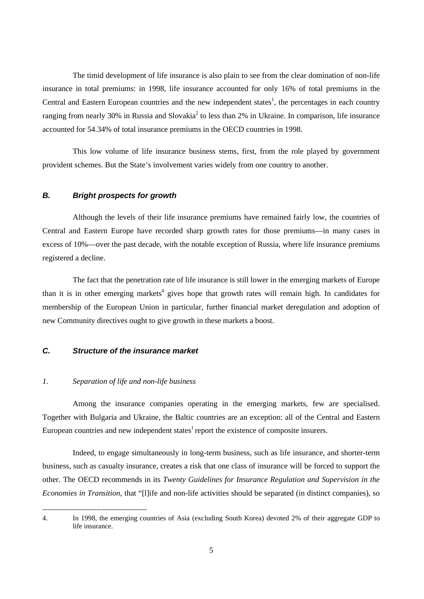The timid development of life insurance is also plain to see from the clear domination of non-life insurance in total premiums: in 1998, life insurance accounted for only 16% of total premiums in the Central and Eastern European countries and the new independent states<sup>1</sup>, the percentages in each country ranging from nearly 30% in Russia and Slovakia<sup>2</sup> to less than 2% in Ukraine. In comparison, life insurance accounted for 54.34% of total insurance premiums in the OECD countries in 1998.

This low volume of life insurance business stems, first, from the role played by government provident schemes. But the State's involvement varies widely from one country to another.

## **B. Bright prospects for growth**

Although the levels of their life insurance premiums have remained fairly low, the countries of Central and Eastern Europe have recorded sharp growth rates for those premiums—in many cases in excess of 10%—over the past decade, with the notable exception of Russia, where life insurance premiums registered a decline.

The fact that the penetration rate of life insurance is still lower in the emerging markets of Europe than it is in other emerging markets<sup>4</sup> gives hope that growth rates will remain high. In candidates for membership of the European Union in particular, further financial market deregulation and adoption of new Community directives ought to give growth in these markets a boost.

## **C. Structure of the insurance market**

#### *1. Separation of life and non-life business*

-

Among the insurance companies operating in the emerging markets, few are specialised. Together with Bulgaria and Ukraine, the Baltic countries are an exception: all of the Central and Eastern European countries and new independent states<sup>1</sup> report the existence of composite insurers.

Indeed, to engage simultaneously in long-term business, such as life insurance, and shorter-term business, such as casualty insurance, creates a risk that one class of insurance will be forced to support the other. The OECD recommends in its *Twenty Guidelines for Insurance Regulation and Supervision in the Economies in Transition*, that "[l]ife and non-life activities should be separated (in distinct companies), so

<sup>4.</sup> In 1998, the emerging countries of Asia (excluding South Korea) devoted 2% of their aggregate GDP to life insurance.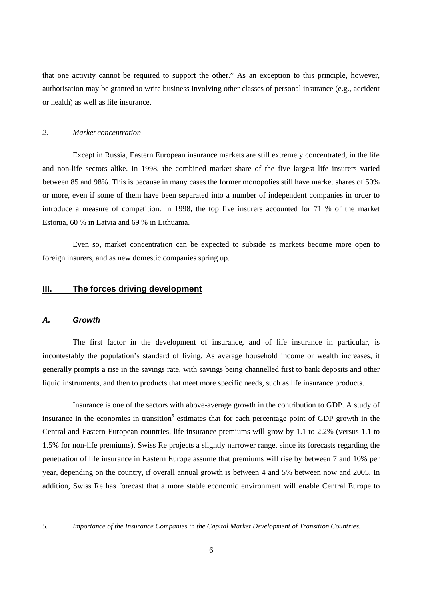that one activity cannot be required to support the other." As an exception to this principle, however, authorisation may be granted to write business involving other classes of personal insurance (e.g., accident or health) as well as life insurance.

## *2. Market concentration*

Except in Russia, Eastern European insurance markets are still extremely concentrated, in the life and non-life sectors alike. In 1998, the combined market share of the five largest life insurers varied between 85 and 98%. This is because in many cases the former monopolies still have market shares of 50% or more, even if some of them have been separated into a number of independent companies in order to introduce a measure of competition. In 1998, the top five insurers accounted for 71 % of the market Estonia, 60 % in Latvia and 69 % in Lithuania.

Even so, market concentration can be expected to subside as markets become more open to foreign insurers, and as new domestic companies spring up.

## **III. The forces driving development**

#### **A. Growth**

The first factor in the development of insurance, and of life insurance in particular, is incontestably the population's standard of living. As average household income or wealth increases, it generally prompts a rise in the savings rate, with savings being channelled first to bank deposits and other liquid instruments, and then to products that meet more specific needs, such as life insurance products.

Insurance is one of the sectors with above-average growth in the contribution to GDP. A study of insurance in the economies in transition<sup>5</sup> estimates that for each percentage point of GDP growth in the Central and Eastern European countries, life insurance premiums will grow by 1.1 to 2.2% (versus 1.1 to 1.5% for non-life premiums). Swiss Re projects a slightly narrower range, since its forecasts regarding the penetration of life insurance in Eastern Europe assume that premiums will rise by between 7 and 10% per year, depending on the country, if overall annual growth is between 4 and 5% between now and 2005. In addition, Swiss Re has forecast that a more stable economic environment will enable Central Europe to

1

<sup>5.</sup> *Importance of the Insurance Companies in the Capital Market Development of Transition Countries.*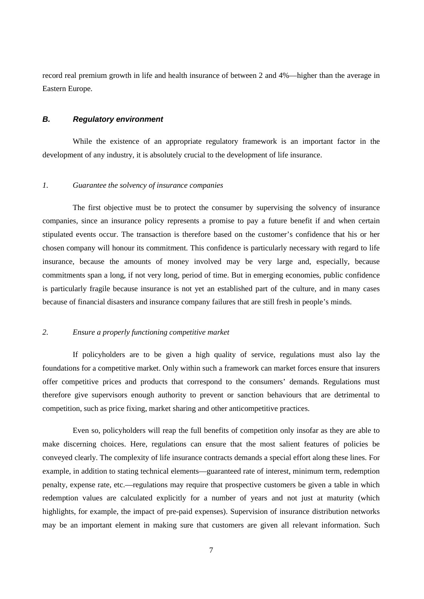record real premium growth in life and health insurance of between 2 and 4%—higher than the average in Eastern Europe.

## **B. Regulatory environment**

While the existence of an appropriate regulatory framework is an important factor in the development of any industry, it is absolutely crucial to the development of life insurance.

### *1. Guarantee the solvency of insurance companies*

The first objective must be to protect the consumer by supervising the solvency of insurance companies, since an insurance policy represents a promise to pay a future benefit if and when certain stipulated events occur. The transaction is therefore based on the customer's confidence that his or her chosen company will honour its commitment. This confidence is particularly necessary with regard to life insurance, because the amounts of money involved may be very large and, especially, because commitments span a long, if not very long, period of time. But in emerging economies, public confidence is particularly fragile because insurance is not yet an established part of the culture, and in many cases because of financial disasters and insurance company failures that are still fresh in people's minds.

#### *2. Ensure a properly functioning competitive market*

If policyholders are to be given a high quality of service, regulations must also lay the foundations for a competitive market. Only within such a framework can market forces ensure that insurers offer competitive prices and products that correspond to the consumers' demands. Regulations must therefore give supervisors enough authority to prevent or sanction behaviours that are detrimental to competition, such as price fixing, market sharing and other anticompetitive practices.

Even so, policyholders will reap the full benefits of competition only insofar as they are able to make discerning choices. Here, regulations can ensure that the most salient features of policies be conveyed clearly. The complexity of life insurance contracts demands a special effort along these lines. For example, in addition to stating technical elements—guaranteed rate of interest, minimum term, redemption penalty, expense rate, etc.—regulations may require that prospective customers be given a table in which redemption values are calculated explicitly for a number of years and not just at maturity (which highlights, for example, the impact of pre-paid expenses). Supervision of insurance distribution networks may be an important element in making sure that customers are given all relevant information. Such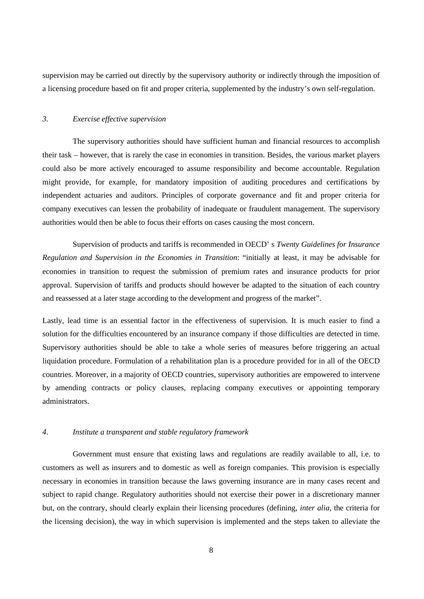supervision may be carried out directly by the supervisory authority or indirectly through the imposition of a licensing procedure based on fit and proper criteria, supplemented by the industry's own self-regulation.

#### *3. Exercise effective supervision*

The supervisory authorities should have sufficient human and financial resources to accomplish their task – however, that is rarely the case in economies in transition. Besides, the various market players could also be more actively encouraged to assume responsibility and become accountable. Regulation might provide, for example, for mandatory imposition of auditing procedures and certifications by independent actuaries and auditors. Principles of corporate governance and fit and proper criteria for company executives can lessen the probability of inadequate or fraudulent management. The supervisory authorities would then be able to focus their efforts on cases causing the most concern.

Supervision of products and tariffs is recommended in OECD' s *Twenty Guidelines for Insurance Regulation and Supervision in the Economies in Transition*: "initially at least, it may be advisable for economies in transition to request the submission of premium rates and insurance products for prior approval. Supervision of tariffs and products should however be adapted to the situation of each country and reassessed at a later stage according to the development and progress of the market".

Lastly, lead time is an essential factor in the effectiveness of supervision. It is much easier to find a solution for the difficulties encountered by an insurance company if those difficulties are detected in time. Supervisory authorities should be able to take a whole series of measures before triggering an actual liquidation procedure. Formulation of a rehabilitation plan is a procedure provided for in all of the OECD countries. Moreover, in a majority of OECD countries, supervisory authorities are empowered to intervene by amending contracts or policy clauses, replacing company executives or appointing temporary administrators.

#### *4. Institute a transparent and stable regulatory framework*

Government must ensure that existing laws and regulations are readily available to all, i.e. to customers as well as insurers and to domestic as well as foreign companies. This provision is especially necessary in economies in transition because the laws governing insurance are in many cases recent and subject to rapid change. Regulatory authorities should not exercise their power in a discretionary manner but, on the contrary, should clearly explain their licensing procedures (defining, *inter alia*, the criteria for the licensing decision), the way in which supervision is implemented and the steps taken to alleviate the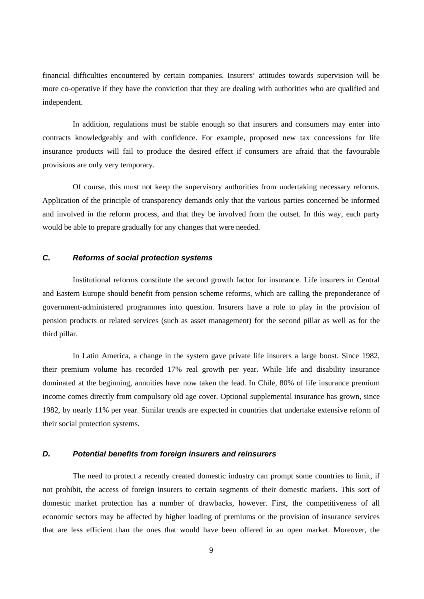financial difficulties encountered by certain companies. Insurers' attitudes towards supervision will be more co-operative if they have the conviction that they are dealing with authorities who are qualified and independent.

In addition, regulations must be stable enough so that insurers and consumers may enter into contracts knowledgeably and with confidence. For example, proposed new tax concessions for life insurance products will fail to produce the desired effect if consumers are afraid that the favourable provisions are only very temporary.

Of course, this must not keep the supervisory authorities from undertaking necessary reforms. Application of the principle of transparency demands only that the various parties concerned be informed and involved in the reform process, and that they be involved from the outset. In this way, each party would be able to prepare gradually for any changes that were needed.

#### **C. Reforms of social protection systems**

Institutional reforms constitute the second growth factor for insurance. Life insurers in Central and Eastern Europe should benefit from pension scheme reforms, which are calling the preponderance of government-administered programmes into question. Insurers have a role to play in the provision of pension products or related services (such as asset management) for the second pillar as well as for the third pillar.

In Latin America, a change in the system gave private life insurers a large boost. Since 1982, their premium volume has recorded 17% real growth per year. While life and disability insurance dominated at the beginning, annuities have now taken the lead. In Chile, 80% of life insurance premium income comes directly from compulsory old age cover. Optional supplemental insurance has grown, since 1982, by nearly 11% per year. Similar trends are expected in countries that undertake extensive reform of their social protection systems.

#### **D. Potential benefits from foreign insurers and reinsurers**

The need to protect a recently created domestic industry can prompt some countries to limit, if not prohibit, the access of foreign insurers to certain segments of their domestic markets. This sort of domestic market protection has a number of drawbacks, however. First, the competitiveness of all economic sectors may be affected by higher loading of premiums or the provision of insurance services that are less efficient than the ones that would have been offered in an open market. Moreover, the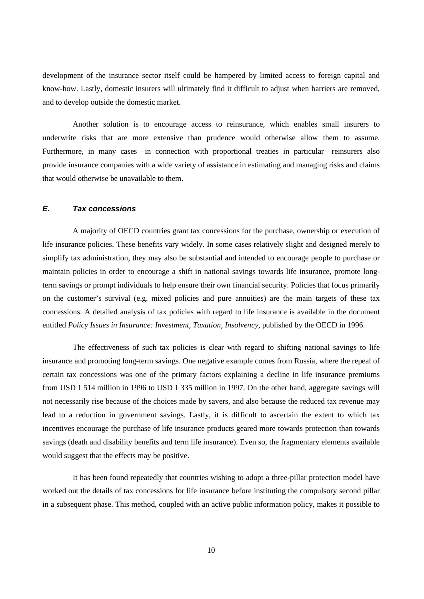development of the insurance sector itself could be hampered by limited access to foreign capital and know-how. Lastly, domestic insurers will ultimately find it difficult to adjust when barriers are removed, and to develop outside the domestic market.

Another solution is to encourage access to reinsurance, which enables small insurers to underwrite risks that are more extensive than prudence would otherwise allow them to assume. Furthermore, in many cases—in connection with proportional treaties in particular—reinsurers also provide insurance companies with a wide variety of assistance in estimating and managing risks and claims that would otherwise be unavailable to them.

### **E. Tax concessions**

A majority of OECD countries grant tax concessions for the purchase, ownership or execution of life insurance policies. These benefits vary widely. In some cases relatively slight and designed merely to simplify tax administration, they may also be substantial and intended to encourage people to purchase or maintain policies in order to encourage a shift in national savings towards life insurance, promote longterm savings or prompt individuals to help ensure their own financial security. Policies that focus primarily on the customer's survival (e.g. mixed policies and pure annuities) are the main targets of these tax concessions. A detailed analysis of tax policies with regard to life insurance is available in the document entitled *Policy Issues in Insurance: Investment, Taxation, Insolvency*, published by the OECD in 1996.

The effectiveness of such tax policies is clear with regard to shifting national savings to life insurance and promoting long-term savings. One negative example comes from Russia, where the repeal of certain tax concessions was one of the primary factors explaining a decline in life insurance premiums from USD 1 514 million in 1996 to USD 1 335 million in 1997. On the other hand, aggregate savings will not necessarily rise because of the choices made by savers, and also because the reduced tax revenue may lead to a reduction in government savings. Lastly, it is difficult to ascertain the extent to which tax incentives encourage the purchase of life insurance products geared more towards protection than towards savings (death and disability benefits and term life insurance). Even so, the fragmentary elements available would suggest that the effects may be positive.

It has been found repeatedly that countries wishing to adopt a three-pillar protection model have worked out the details of tax concessions for life insurance before instituting the compulsory second pillar in a subsequent phase. This method, coupled with an active public information policy, makes it possible to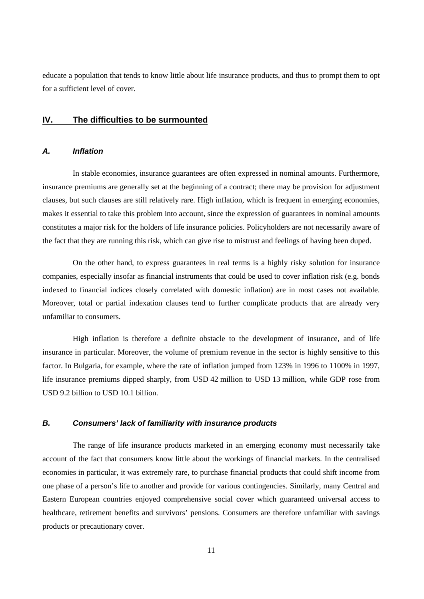educate a population that tends to know little about life insurance products, and thus to prompt them to opt for a sufficient level of cover.

### **IV. The difficulties to be surmounted**

#### **A. Inflation**

In stable economies, insurance guarantees are often expressed in nominal amounts. Furthermore, insurance premiums are generally set at the beginning of a contract; there may be provision for adjustment clauses, but such clauses are still relatively rare. High inflation, which is frequent in emerging economies, makes it essential to take this problem into account, since the expression of guarantees in nominal amounts constitutes a major risk for the holders of life insurance policies. Policyholders are not necessarily aware of the fact that they are running this risk, which can give rise to mistrust and feelings of having been duped.

On the other hand, to express guarantees in real terms is a highly risky solution for insurance companies, especially insofar as financial instruments that could be used to cover inflation risk (e.g. bonds indexed to financial indices closely correlated with domestic inflation) are in most cases not available. Moreover, total or partial indexation clauses tend to further complicate products that are already very unfamiliar to consumers.

High inflation is therefore a definite obstacle to the development of insurance, and of life insurance in particular. Moreover, the volume of premium revenue in the sector is highly sensitive to this factor. In Bulgaria, for example, where the rate of inflation jumped from 123% in 1996 to 1100% in 1997, life insurance premiums dipped sharply, from USD 42 million to USD 13 million, while GDP rose from USD 9.2 billion to USD 10.1 billion.

#### **B. Consumers' lack of familiarity with insurance products**

The range of life insurance products marketed in an emerging economy must necessarily take account of the fact that consumers know little about the workings of financial markets. In the centralised economies in particular, it was extremely rare, to purchase financial products that could shift income from one phase of a person's life to another and provide for various contingencies. Similarly, many Central and Eastern European countries enjoyed comprehensive social cover which guaranteed universal access to healthcare, retirement benefits and survivors' pensions. Consumers are therefore unfamiliar with savings products or precautionary cover.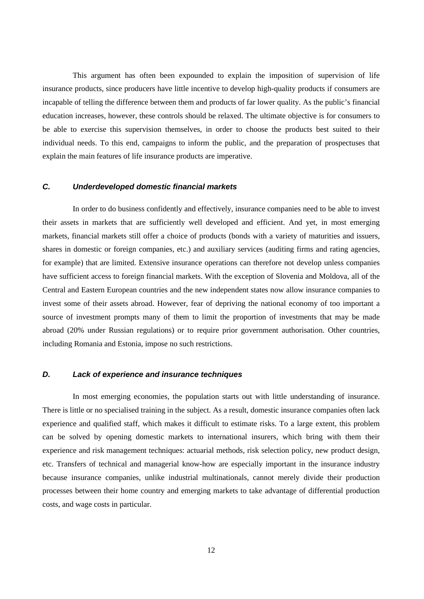This argument has often been expounded to explain the imposition of supervision of life insurance products, since producers have little incentive to develop high-quality products if consumers are incapable of telling the difference between them and products of far lower quality. As the public's financial education increases, however, these controls should be relaxed. The ultimate objective is for consumers to be able to exercise this supervision themselves, in order to choose the products best suited to their individual needs. To this end, campaigns to inform the public, and the preparation of prospectuses that explain the main features of life insurance products are imperative.

## **C. Underdeveloped domestic financial markets**

In order to do business confidently and effectively, insurance companies need to be able to invest their assets in markets that are sufficiently well developed and efficient. And yet, in most emerging markets, financial markets still offer a choice of products (bonds with a variety of maturities and issuers, shares in domestic or foreign companies, etc.) and auxiliary services (auditing firms and rating agencies, for example) that are limited. Extensive insurance operations can therefore not develop unless companies have sufficient access to foreign financial markets. With the exception of Slovenia and Moldova, all of the Central and Eastern European countries and the new independent states now allow insurance companies to invest some of their assets abroad. However, fear of depriving the national economy of too important a source of investment prompts many of them to limit the proportion of investments that may be made abroad (20% under Russian regulations) or to require prior government authorisation. Other countries, including Romania and Estonia, impose no such restrictions.

## **D. Lack of experience and insurance techniques**

In most emerging economies, the population starts out with little understanding of insurance. There is little or no specialised training in the subject. As a result, domestic insurance companies often lack experience and qualified staff, which makes it difficult to estimate risks. To a large extent, this problem can be solved by opening domestic markets to international insurers, which bring with them their experience and risk management techniques: actuarial methods, risk selection policy, new product design, etc. Transfers of technical and managerial know-how are especially important in the insurance industry because insurance companies, unlike industrial multinationals, cannot merely divide their production processes between their home country and emerging markets to take advantage of differential production costs, and wage costs in particular.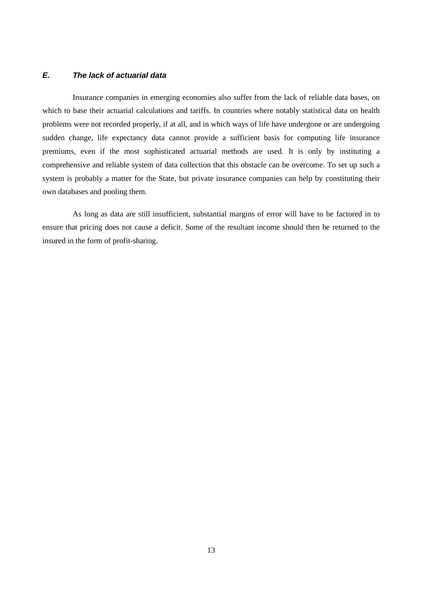# **E. The lack of actuarial data**

Insurance companies in emerging economies also suffer from the lack of reliable data bases, on which to base their actuarial calculations and tariffs. In countries where notably statistical data on health problems were not recorded properly, if at all, and in which ways of life have undergone or are undergoing sudden change, life expectancy data cannot provide a sufficient basis for computing life insurance premiums, even if the most sophisticated actuarial methods are used. It is only by instituting a comprehensive and reliable system of data collection that this obstacle can be overcome. To set up such a system is probably a matter for the State, but private insurance companies can help by constituting their own databases and pooling them.

As long as data are still insufficient, substantial margins of error will have to be factored in to ensure that pricing does not cause a deficit. Some of the resultant income should then be returned to the insured in the form of profit-sharing.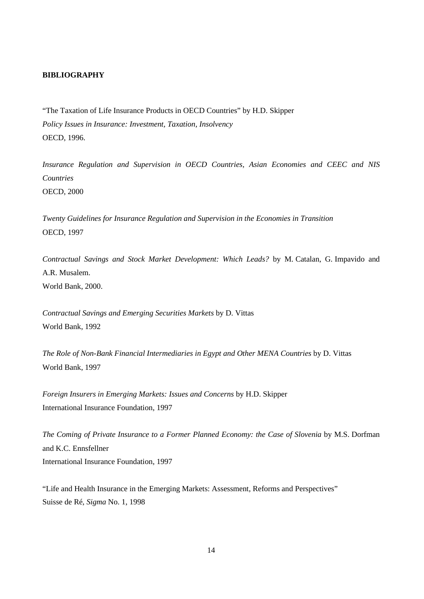#### **BIBLIOGRAPHY**

"The Taxation of Life Insurance Products in OECD Countries" by H.D. Skipper *Policy Issues in Insurance: Investment, Taxation, Insolvency* OECD, 1996.

*Insurance Regulation and Supervision in OECD Countries, Asian Economies and CEEC and NIS Countries* OECD, 2000

*Twenty Guidelines for Insurance Regulation and Supervision in the Economies in Transition* OECD, 1997

*Contractual Savings and Stock Market Development: Which Leads?* by M. Catalan, G. Impavido and A.R. Musalem. World Bank, 2000.

*Contractual Savings and Emerging Securities Markets* by D. Vittas World Bank, 1992

*The Role of Non-Bank Financial Intermediaries in Egypt and Other MENA Countries* by D. Vittas World Bank, 1997

*Foreign Insurers in Emerging Markets: Issues and Concerns* by H.D. Skipper International Insurance Foundation, 1997

*The Coming of Private Insurance to a Former Planned Economy: the Case of Slovenia* by M.S. Dorfman and K.C. Ennsfellner International Insurance Foundation, 1997

"Life and Health Insurance in the Emerging Markets: Assessment, Reforms and Perspectives" Suisse de Ré, *Sigma* No. 1, 1998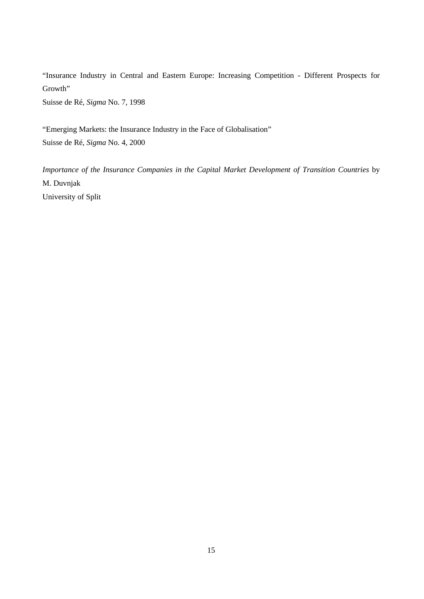"Insurance Industry in Central and Eastern Europe: Increasing Competition - Different Prospects for Growth"

Suisse de Ré, *Sigma* No. 7, 1998

"Emerging Markets: the Insurance Industry in the Face of Globalisation" Suisse de Ré, *Sigma* No. 4, 2000

*Importance of the Insurance Companies in the Capital Market Development of Transition Countries* by M. Duvnjak University of Split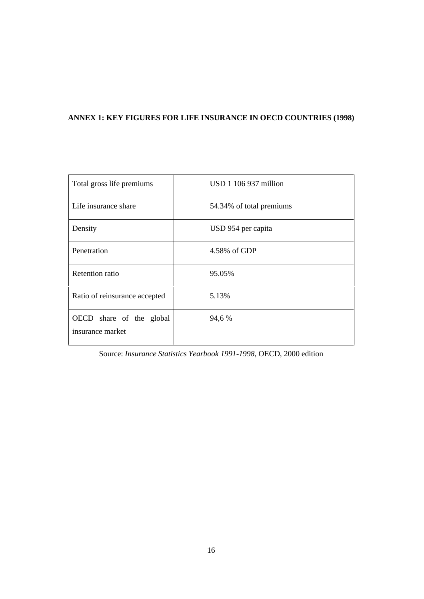# **ANNEX 1: KEY FIGURES FOR LIFE INSURANCE IN OECD COUNTRIES (1998)**

| Total gross life premiums                    | $USD$ 1 106 937 million  |
|----------------------------------------------|--------------------------|
| Life insurance share                         | 54.34% of total premiums |
| Density                                      | USD 954 per capita       |
| Penetration                                  | 4.58% of GDP             |
| <b>Retention</b> ratio                       | 95.05%                   |
| Ratio of reinsurance accepted                | 5.13%                    |
| OECD share of the global<br>insurance market | 94,6 %                   |

Source: *Insurance Statistics Yearbook 1991-1998*, OECD, 2000 edition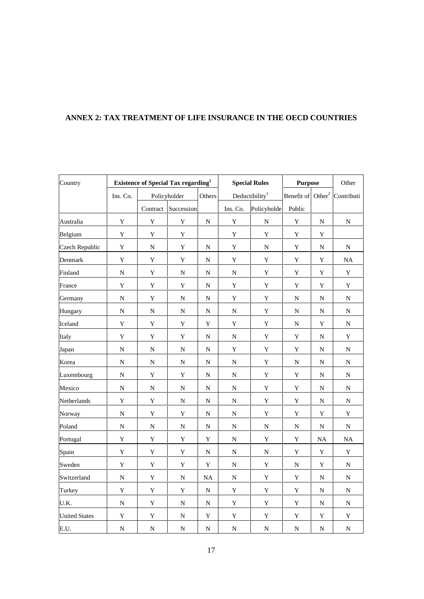# **ANNEX 2: TAX TREATMENT OF LIFE INSURANCE IN THE OECD COUNTRIES**

| Country               | <b>Existence of Special Tax regarding</b> <sup>1</sup> |             | <b>Special Rules</b> |             | <b>Purpose</b> |                            | Other                         |             |             |
|-----------------------|--------------------------------------------------------|-------------|----------------------|-------------|----------------|----------------------------|-------------------------------|-------------|-------------|
|                       | Ins. Co.                                               |             | Policyholder         | Others      |                | Deductibility <sup>1</sup> | Benefit of Other <sup>2</sup> |             | Contributi  |
|                       |                                                        | Contract    | Succession           |             | Ins. Co.       | Policyholde                | Public                        |             |             |
| Australia             | $\mathbf Y$                                            | $\mathbf Y$ | $\mathbf Y$          | ${\bf N}$   | $\mathbf Y$    | $\overline{N}$             | $\mathbf Y$                   | ${\bf N}$   | ${\bf N}$   |
| Belgium               | $\mathbf Y$                                            | $\mathbf Y$ | Y                    |             | $\mathbf Y$    | $\mathbf Y$                | Y                             | Y           |             |
| <b>Czech Republic</b> | $\mathbf Y$                                            | ${\bf N}$   | $\mathbf Y$          | ${\bf N}$   | $\mathbf Y$    | ${\bf N}$                  | $\mathbf Y$                   | ${\bf N}$   | ${\bf N}$   |
| Denmark               | $\mathbf Y$                                            | $\mathbf Y$ | Y                    | ${\bf N}$   | $\mathbf Y$    | $\mathbf Y$                | Y                             | $\mathbf Y$ | $\rm NA$    |
| Finland               | ${\bf N}$                                              | $\mathbf Y$ | N                    | N           | ${\bf N}$      | $\mathbf Y$                | Y                             | Y           | $\mathbf Y$ |
| France                | $\mathbf Y$                                            | $\mathbf Y$ | $\mathbf Y$          | ${\bf N}$   | $\mathbf Y$    | $\mathbf Y$                | Y                             | $\mathbf Y$ | $\mathbf Y$ |
| Germany               | ${\bf N}$                                              | $\mathbf Y$ | $\mathbf N$          | ${\bf N}$   | $\mathbf Y$    | $\mathbf Y$                | N                             | ${\bf N}$   | ${\bf N}$   |
| Hungary               | ${\bf N}$                                              | N           | N                    | ${\bf N}$   | N              | $\mathbf Y$                | N                             | ${\bf N}$   | ${\bf N}$   |
| Iceland               | $\mathbf Y$                                            | Y           | $\mathbf Y$          | $\mathbf Y$ | $\mathbf Y$    | $\mathbf Y$                | ${\bf N}$                     | $\mathbf Y$ | ${\bf N}$   |
| Italy                 | $\mathbf Y$                                            | Y           | $\mathbf Y$          | ${\bf N}$   | ${\bf N}$      | $\mathbf Y$                | Y                             | N           | $\mathbf Y$ |
| Japan                 | ${\bf N}$                                              | N           | ${\bf N}$            | ${\bf N}$   | $\mathbf Y$    | $\mathbf Y$                | Y                             | ${\bf N}$   | ${\bf N}$   |
| Korea                 | ${\bf N}$                                              | ${\bf N}$   | ${\bf N}$            | ${\bf N}$   | ${\bf N}$      | $\mathbf Y$                | ${\bf N}$                     | N           | ${\bf N}$   |
| Luxembourg            | ${\bf N}$                                              | $\mathbf Y$ | $\mathbf Y$          | ${\bf N}$   | ${\bf N}$      | $\mathbf Y$                | $\mathbf Y$                   | N           | ${\bf N}$   |
| Mexico                | ${\bf N}$                                              | ${\bf N}$   | N                    | N           | ${\bf N}$      | $\mathbf Y$                | $\mathbf Y$                   | N           | ${\bf N}$   |
| Netherlands           | $\mathbf Y$                                            | $\mathbf Y$ | ${\bf N}$            | ${\bf N}$   | ${\bf N}$      | $\mathbf Y$                | $\mathbf Y$                   | ${\bf N}$   | ${\bf N}$   |
| Norway                | ${\bf N}$                                              | $\mathbf Y$ | $\mathbf Y$          | N           | ${\bf N}$      | $\mathbf Y$                | $\mathbf Y$                   | $\mathbf Y$ | $\mathbf Y$ |
| Poland                | ${\bf N}$                                              | N           | N                    | $\mathbf N$ | N              | ${\bf N}$                  | N                             | N           | ${\bf N}$   |
| Portugal              | $\mathbf Y$                                            | Y           | Y                    | Y           | N              | $\mathbf Y$                | Y                             | $\rm NA$    | $\rm NA$    |
| Spain                 | $\rm Y$                                                | $\mathbf Y$ | $\mathbf Y$          | ${\bf N}$   | ${\bf N}$      | ${\bf N}$                  | $\mathbf Y$                   | $\mathbf Y$ | $\mathbf Y$ |
| Sweden                | $\mathbf Y$                                            | $\mathbf Y$ | Y                    | Y           | N              | $\mathbf Y$                | $\mathbf N$                   | Y           | N           |
| Switzerland           | ${\bf N}$                                              | $\mathbf Y$ | ${\bf N}$            | $\rm NA$    | ${\bf N}$      | $\mathbf Y$                | Y                             | ${\bf N}$   | ${\bf N}$   |
| Turkey                | $\mathbf Y$                                            | $\mathbf Y$ | $\mathbf Y$          | ${\bf N}$   | $\mathbf Y$    | $\rm Y$                    | Y                             | ${\bf N}$   | ${\bf N}$   |
| U.K.                  | ${\bf N}$                                              | Y           | N                    | ${\bf N}$   | Y              | $\mathbf Y$                | Y                             | ${\bf N}$   | N           |
| <b>United States</b>  | $\mathbf Y$                                            | Y           | N                    | Y           | $\mathbf Y$    | $\mathbf Y$                | Y                             | Y           | $\mathbf Y$ |
| E.U.                  | ${\bf N}$                                              | ${\bf N}$   | $\overline{N}$       | ${\bf N}$   | ${\bf N}$      | $\overline{N}$             | ${\bf N}$                     | ${\bf N}$   | ${\bf N}$   |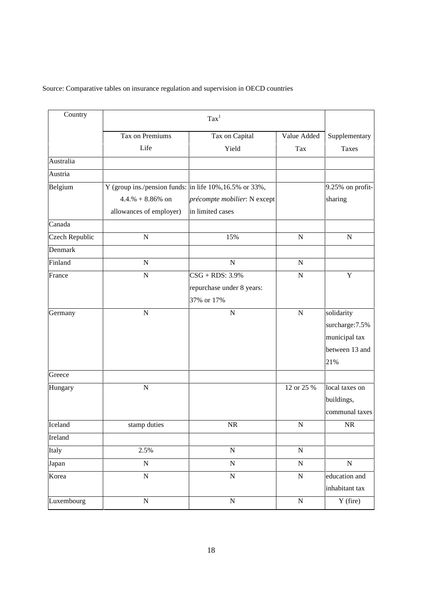Source: Comparative tables on insurance regulation and supervision in OECD countries

| Country               | $\text{Tax}^1$                                          |                              |             |                  |
|-----------------------|---------------------------------------------------------|------------------------------|-------------|------------------|
|                       | Tax on Premiums                                         | Tax on Capital               | Value Added | Supplementary    |
|                       | Life                                                    | Yield                        | Tax         | <b>Taxes</b>     |
| Australia             |                                                         |                              |             |                  |
| Austria               |                                                         |                              |             |                  |
| Belgium               | Y (group ins./pension funds: in life 10%, 16.5% or 33%, |                              |             | 9.25% on profit- |
|                       | $4.4.% + 8.86%$ on                                      | précompte mobilier: N except |             | sharing          |
|                       | allowances of employer)                                 | in limited cases             |             |                  |
| Canada                |                                                         |                              |             |                  |
| <b>Czech Republic</b> | ${\bf N}$                                               | 15%                          | ${\bf N}$   | ${\bf N}$        |
| Denmark               |                                                         |                              |             |                  |
| Finland               | ${\bf N}$                                               | $\mathbf N$                  | ${\bf N}$   |                  |
| France                | $\overline{N}$                                          | $CSG + RDS: 3.9%$            | $\mathbf N$ | Y                |
|                       |                                                         | repurchase under 8 years:    |             |                  |
|                       |                                                         | 37% or 17%                   |             |                  |
| Germany               | $\mathbf N$                                             | $\mathbf N$                  | ${\bf N}$   | solidarity       |
|                       |                                                         |                              |             | surcharge: 7.5%  |
|                       |                                                         |                              |             | municipal tax    |
|                       |                                                         |                              |             | between 13 and   |
|                       |                                                         |                              |             | 21%              |
| Greece                |                                                         |                              |             |                  |
| Hungary               | ${\bf N}$                                               |                              | 12 or 25 %  | local taxes on   |
|                       |                                                         |                              |             | buildings,       |
|                       |                                                         |                              |             | communal taxes   |
| Iceland               | stamp duties                                            | NR                           | ${\bf N}$   | $\rm NR$         |
| Ireland               |                                                         |                              |             |                  |
| Italy                 | 2.5%                                                    | ${\bf N}$                    | ${\bf N}$   |                  |
| Japan                 | ${\bf N}$                                               | ${\bf N}$                    | ${\bf N}$   | ${\bf N}$        |
| Korea                 | $\overline{\rm N}$                                      | $\mathbf N$                  | ${\bf N}$   | education and    |
|                       |                                                         |                              |             | inhabitant tax   |
| Luxembourg            | $\overline{N}$                                          | $\overline{N}$               | ${\bf N}$   | $Y$ (fire)       |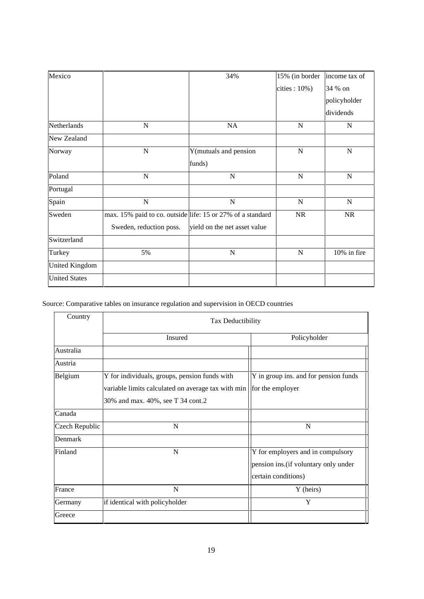| Mexico                |                         | 34%                                                        | 15% (in border   | income tax of |
|-----------------------|-------------------------|------------------------------------------------------------|------------------|---------------|
|                       |                         |                                                            | cities: $10\%$ ) | 34 % on       |
|                       |                         |                                                            |                  | policyholder  |
|                       |                         |                                                            |                  | dividends     |
| Netherlands           | $\mathbf N$             | NA                                                         | N                | ${\bf N}$     |
| New Zealand           |                         |                                                            |                  |               |
| Norway                | $\mathbf N$             | Y(mutuals and pension                                      | $\mathbf N$      | $\mathbf N$   |
|                       |                         | funds)                                                     |                  |               |
| Poland                | $\mathbf N$             | $\mathbf N$                                                | $\mathbf N$      | $\mathbf N$   |
| Portugal              |                         |                                                            |                  |               |
| Spain                 | ${\bf N}$               | $\mathbf N$                                                | $\mathbf N$      | ${\bf N}$     |
| Sweden                |                         | max. 15% paid to co. outside life: 15 or 27% of a standard | NR               | <b>NR</b>     |
|                       | Sweden, reduction poss. | yield on the net asset value                               |                  |               |
| Switzerland           |                         |                                                            |                  |               |
| Turkey                | 5%                      | N                                                          | $\mathbf N$      | 10% in fire   |
| <b>United Kingdom</b> |                         |                                                            |                  |               |
| <b>United States</b>  |                         |                                                            |                  |               |

# Source: Comparative tables on insurance regulation and supervision in OECD countries

| Country        | Tax Deductibility                                                     |                                       |  |  |
|----------------|-----------------------------------------------------------------------|---------------------------------------|--|--|
|                | Insured                                                               | Policyholder                          |  |  |
| Australia      |                                                                       |                                       |  |  |
| Austria        |                                                                       |                                       |  |  |
| Belgium        | Y for individuals, groups, pension funds with                         | Y in group ins. and for pension funds |  |  |
|                | variable limits calculated on average tax with min   for the employer |                                       |  |  |
|                | 30% and max. 40%, see T 34 cont.2                                     |                                       |  |  |
| Canada         |                                                                       |                                       |  |  |
| Czech Republic | N                                                                     | N                                     |  |  |
| Denmark        |                                                                       |                                       |  |  |
| Finland        | N                                                                     | Y for employers and in compulsory     |  |  |
|                |                                                                       | pension ins. (if voluntary only under |  |  |
|                |                                                                       | certain conditions)                   |  |  |
| France         | N                                                                     | Y (heirs)                             |  |  |
| Germany        | if identical with policyholder                                        | Y                                     |  |  |
| Greece         |                                                                       |                                       |  |  |